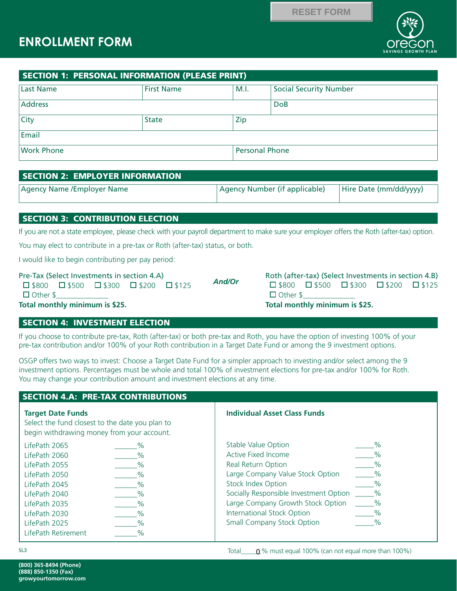## **ENROLLMENT FORM**



**SAVINGS GROWTH PLAN**

| SECTION 1: PERSONAL INFORMATION (PLEASE PRINT) |                   |                       |                               |
|------------------------------------------------|-------------------|-----------------------|-------------------------------|
| Last Name                                      | <b>First Name</b> | M.I.                  | <b>Social Security Number</b> |
| Address                                        |                   |                       | <b>DoB</b>                    |
| <b>City</b>                                    | <b>State</b>      | Zip                   |                               |
| Email                                          |                   |                       |                               |
| <b>Work Phone</b>                              |                   | <b>Personal Phone</b> |                               |

### SECTION 2: EMPLOYER INFORMATION

| Agency Name / Employer Name | Agency Number (if applicable) | Hire Date (mm/dd/yyyy) |
|-----------------------------|-------------------------------|------------------------|
|                             |                               |                        |

### SECTION 3: CONTRIBUTION ELECTION

If you are not a state employee, please check with your payroll department to make sure your employer offers the Roth (after-tax) option.

You may elect to contribute in a pre-tax or Roth (after-tax) status, or both.

I would like to begin contributing per pay period:

#### Pre-Tax (Select Investments in section 4.A)

|                 | $\square$ \$800 $\square$ \$500 $\square$ \$300 $\square$ \$200 $\square$ \$125 |  |
|-----------------|---------------------------------------------------------------------------------|--|
| $\Box$ Other \$ |                                                                                 |  |

| <b>And/Or</b> |
|---------------|
|---------------|

Roth (after-tax) (Select Investments in section 4.B)  $\square$ \$800  $\square$ \$500  $\square$ \$300  $\square$ \$200  $\square$ \$125  $\Box$  Other \$ **Total monthly minimum is \$25.**

**Total monthly minimum is \$25.**

### SECTION 4: INVESTMENT ELECTION

If you choose to contribute pre-tax, Roth (after-tax) or both pre-tax and Roth, you have the option of investing 100% of your pre-tax contribution and/or 100% of your Roth contribution in a Target Date Fund or among the 9 investment options.

OSGP offers two ways to invest: Choose a Target Date Fund for a simpler approach to investing and/or select among the 9 investment options. Percentages must be whole and total 100% of investment elections for pre-tax and/or 100% for Roth. You may change your contribution amount and investment elections at any time.

# SECTION 4.A: PRE-TAX CONTRIBUTIONS **Target Date Funds** Select the fund closest to the date you plan to begin withdrawing money from your account. LifePath 2065 \_\_\_\_\_\_% LifePath 2060 \_\_\_\_\_\_% LifePath 2055 \_\_\_\_\_\_% LifePath 2050 \_\_\_\_\_\_% LifePath 2045 \_\_\_\_\_\_% LifePath 2040 \_\_\_\_\_\_% LifePath 2035 \_\_\_\_\_\_% LifePath 2030 \_\_\_\_\_\_% LifePath 2025 \_\_\_\_\_\_% LifePath Retirement  $\%$ **Individual Asset Class Funds** Stable Value Option \_\_\_\_\_\_\_\_ % Active Fixed Income  $\%$ Real Return Option and the set of the Second Second Second Second Second Second Second Second Second Second Se Large Company Value Stock Option \_\_\_\_\_\_% Stock Index Option  $\%$ Socially Responsible Investment Option % Large Company Growth Stock Option \_\_\_\_\_% International Stock Option \_\_\_\_\_% Small Company Stock Option  $\%$ **EXECTION AT FORM**<br> **EXECTION 1: PERSONAL INFORMATION (PIEASE PRINT)**<br> **GROWSE INTERNATION (PIEASE PRINT)**<br>
USINE MARKS<br>
Com<br>
That Name<br>
Com<br>
Work Phone First Name<br>
Com<br>
State (PD) 2: **EMPLOYER INFORMATION**<br> **SECTION 3:**

**(800) 365-8494 (Phone) (888) 850-1350 (Fax)**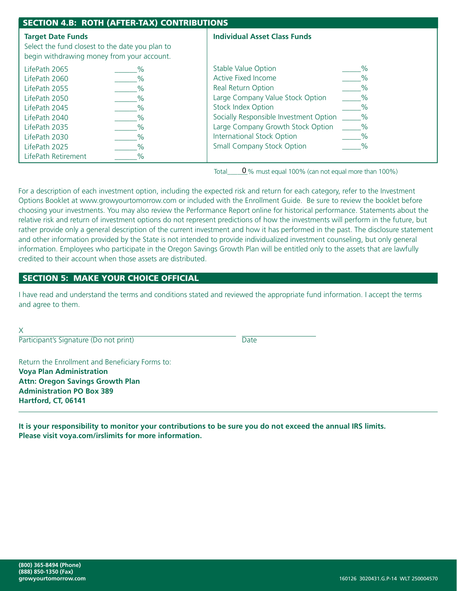| <b>SECTION 4.B: ROTH (AFTER-TAX) CONTRIBUTIONS</b>                                                                        |               |                                        |               |  |
|---------------------------------------------------------------------------------------------------------------------------|---------------|----------------------------------------|---------------|--|
| <b>Target Date Funds</b><br>Select the fund closest to the date you plan to<br>begin withdrawing money from your account. |               | <b>Individual Asset Class Funds</b>    |               |  |
| LifePath 2065                                                                                                             |               | <b>Stable Value Option</b>             | $\%$          |  |
| LifePath 2060                                                                                                             | $\%$          | Active Fixed Income                    | $\frac{0}{0}$ |  |
| LifePath 2055                                                                                                             | $\%$          | <b>Real Return Option</b>              |               |  |
| LifePath 2050                                                                                                             | $\frac{0}{0}$ | Large Company Value Stock Option       | $\frac{0}{0}$ |  |
| LifePath 2045                                                                                                             |               | <b>Stock Index Option</b>              | $\%$          |  |
| LifePath 2040                                                                                                             |               | Socially Responsible Investment Option | $\%$          |  |
| LifePath 2035                                                                                                             |               | Large Company Growth Stock Option      | $\%$          |  |
| LifePath 2030                                                                                                             |               | <b>International Stock Option</b>      | $\frac{0}{0}$ |  |
| LifePath 2025                                                                                                             | $\%$          | <b>Small Company Stock Option</b>      | $\%$          |  |
| LifePath Retirement                                                                                                       | $\%$          |                                        |               |  |

Total  $\sqrt{0}$ % must equal 100% (can not equal more than 100%)

For a description of each investment option, including the expected risk and return for each category, refer to the Investment Options Booklet at www.growyourtomorrow.com or included with the Enrollment Guide. Be sure to review the booklet before choosing your investments. You may also review the Performance Report online for historical performance. Statements about the relative risk and return of investment options do not represent predictions of how the investments will perform in the future, but rather provide only a general description of the current investment and how it has performed in the past. The disclosure statement and other information provided by the State is not intended to provide individualized investment counseling, but only general information. Employees who participate in the Oregon Savings Growth Plan will be entitled only to the assets that are lawfully credited to their account when those assets are distributed.

### SECTION 5: MAKE YOUR CHOICE OFFICIAL

I have read and understand the terms and conditions stated and reviewed the appropriate fund information. I accept the terms and agree to them.

X

Participant's Signature (Do not print) Date

Return the Enrollment and Beneficiary Forms to: **Voya Plan Administration Attn: Oregon Savings Growth Plan Administration PO Box 389 Hartford, CT, 06141**

**It is your responsibility to monitor your contributions to be sure you do not exceed the annual IRS limits. Please visit voya.com/irslimits for more information.**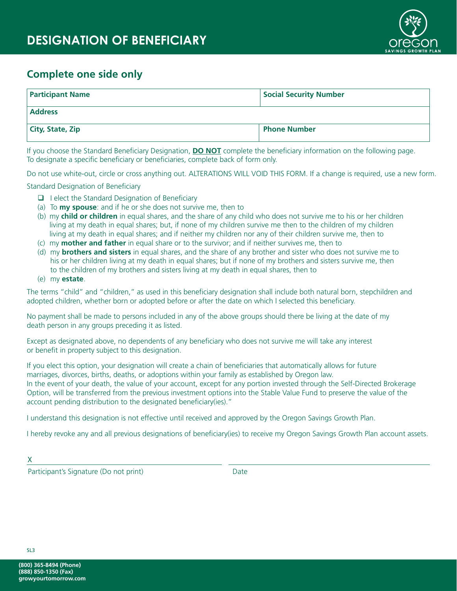

### **Complete one side only**

| <b>Participant Name</b> | <b>Social Security Number</b> |
|-------------------------|-------------------------------|
| <b>Address</b>          |                               |
| <b>City, State, Zip</b> | <b>Phone Number</b>           |

If you choose the Standard Beneficiary Designation, **DO NOT** complete the beneficiary information on the following page. To designate a specific beneficiary or beneficiaries, complete back of form only.

Do not use white-out, circle or cross anything out. ALTERATIONS WILL VOID THIS FORM. If a change is required, use a new form.

Standard Designation of Beneficiary

- $\Box$  I elect the Standard Designation of Beneficiary
- (a) To **my spouse**: and if he or she does not survive me, then to
- (b) my **child or children** in equal shares, and the share of any child who does not survive me to his or her children living at my death in equal shares; but, if none of my children survive me then to the children of my children living at my death in equal shares; and if neither my children nor any of their children survive me, then to
- (c) my **mother and father** in equal share or to the survivor; and if neither survives me, then to
- (d) my **brothers and sisters** in equal shares, and the share of any brother and sister who does not survive me to his or her children living at my death in equal shares; but if none of my brothers and sisters survive me, then to the children of my brothers and sisters living at my death in equal shares, then to
- (e) my **estate**.

The terms "child" and "children," as used in this beneficiary designation shall include both natural born, stepchildren and adopted children, whether born or adopted before or after the date on which I selected this beneficiary.

No payment shall be made to persons included in any of the above groups should there be living at the date of my death person in any groups preceding it as listed.

Except as designated above, no dependents of any beneficiary who does not survive me will take any interest or benefit in property subject to this designation.

If you elect this option, your designation will create a chain of beneficiaries that automatically allows for future marriages, divorces, births, deaths, or adoptions within your family as established by Oregon law. In the event of your death, the value of your account, except for any portion invested through the Self-Directed Brokerage Option, will be transferred from the previous investment options into the Stable Value Fund to preserve the value of the account pending distribution to the designated beneficiary(ies)."

I understand this designation is not effective until received and approved by the Oregon Savings Growth Plan.

I hereby revoke any and all previous designations of beneficiary(ies) to receive my Oregon Savings Growth Plan account assets.

X

Participant's Signature (Do not print) Date